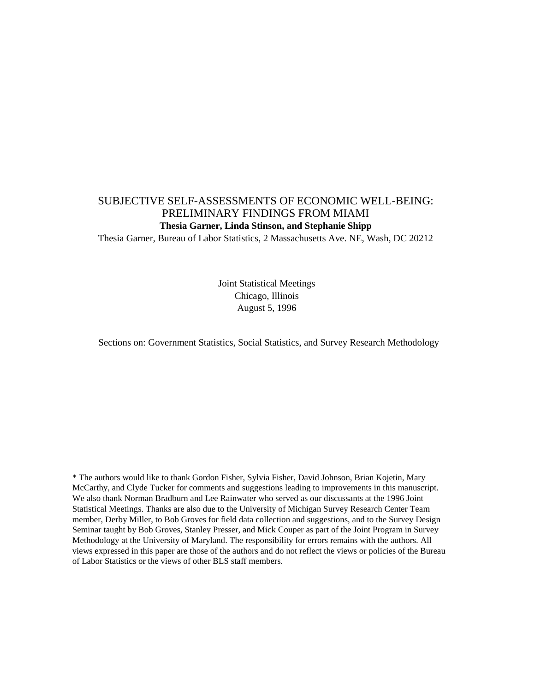## SUBJECTIVE SELF-ASSESSMENTS OF ECONOMIC WELL-BEING: PRELIMINARY FINDINGS FROM MIAMI **Thesia Garner, Linda Stinson, and Stephanie Shipp**

Thesia Garner, Bureau of Labor Statistics, 2 Massachusetts Ave. NE, Wash, DC 20212

Joint Statistical Meetings Chicago, Illinois August 5, 1996

Sections on: Government Statistics, Social Statistics, and Survey Research Methodology

\* The authors would like to thank Gordon Fisher, Sylvia Fisher, David Johnson, Brian Kojetin, Mary McCarthy, and Clyde Tucker for comments and suggestions leading to improvements in this manuscript. We also thank Norman Bradburn and Lee Rainwater who served as our discussants at the 1996 Joint Statistical Meetings. Thanks are also due to the University of Michigan Survey Research Center Team member, Derby Miller, to Bob Groves for field data collection and suggestions, and to the Survey Design Seminar taught by Bob Groves, Stanley Presser, and Mick Couper as part of the Joint Program in Survey Methodology at the University of Maryland. The responsibility for errors remains with the authors. All views expressed in this paper are those of the authors and do not reflect the views or policies of the Bureau of Labor Statistics or the views of other BLS staff members.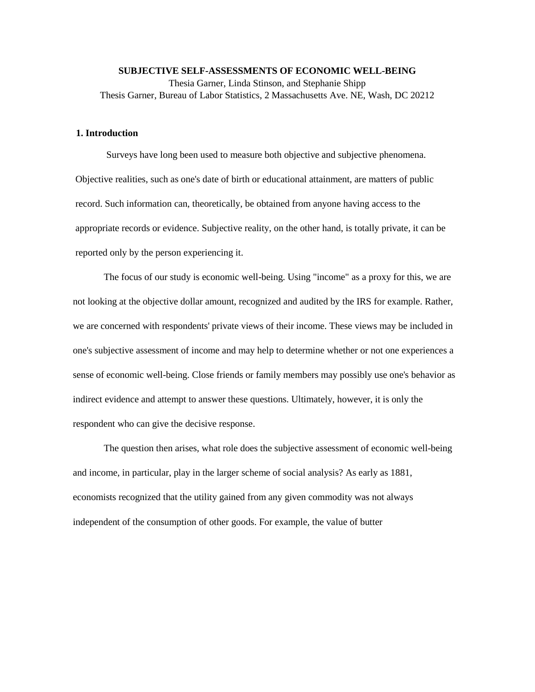**SUBJECTIVE SELF-ASSESSMENTS OF ECONOMIC WELL-BEING** Thesia Garner, Linda Stinson, and Stephanie Shipp Thesis Garner, Bureau of Labor Statistics, 2 Massachusetts Ave. NE, Wash, DC 20212

#### **1. Introduction**

Surveys have long been used to measure both objective and subjective phenomena. Objective realities, such as one's date of birth or educational attainment, are matters of public record. Such information can, theoretically, be obtained from anyone having access to the appropriate records or evidence. Subjective reality, on the other hand, is totally private, it can be reported only by the person experiencing it.

The focus of our study is economic well-being. Using "income" as a proxy for this, we are not looking at the objective dollar amount, recognized and audited by the IRS for example. Rather, we are concerned with respondents' private views of their income. These views may be included in one's subjective assessment of income and may help to determine whether or not one experiences a sense of economic well-being. Close friends or family members may possibly use one's behavior as indirect evidence and attempt to answer these questions. Ultimately, however, it is only the respondent who can give the decisive response.

The question then arises, what role does the subjective assessment of economic well-being and income, in particular, play in the larger scheme of social analysis? As early as 1881, economists recognized that the utility gained from any given commodity was not always independent of the consumption of other goods. For example, the value of butter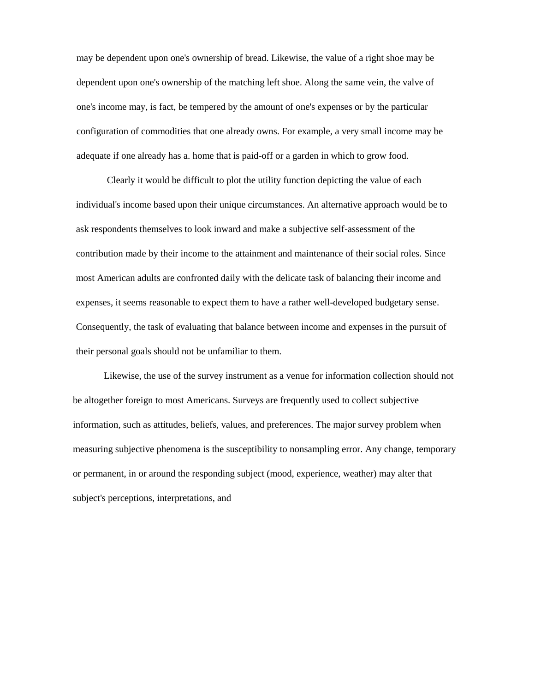may be dependent upon one's ownership of bread. Likewise, the value of a right shoe may be dependent upon one's ownership of the matching left shoe. Along the same vein, the valve of one's income may, is fact, be tempered by the amount of one's expenses or by the particular configuration of commodities that one already owns. For example, a very small income may be adequate if one already has a. home that is paid-off or a garden in which to grow food.

Clearly it would be difficult to plot the utility function depicting the value of each individual's income based upon their unique circumstances. An alternative approach would be to ask respondents themselves to look inward and make a subjective self-assessment of the contribution made by their income to the attainment and maintenance of their social roles. Since most American adults are confronted daily with the delicate task of balancing their income and expenses, it seems reasonable to expect them to have a rather well-developed budgetary sense. Consequently, the task of evaluating that balance between income and expenses in the pursuit of their personal goals should not be unfamiliar to them.

Likewise, the use of the survey instrument as a venue for information collection should not be altogether foreign to most Americans. Surveys are frequently used to collect subjective information, such as attitudes, beliefs, values, and preferences. The major survey problem when measuring subjective phenomena is the susceptibility to nonsampling error. Any change, temporary or permanent, in or around the responding subject (mood, experience, weather) may alter that subject's perceptions, interpretations, and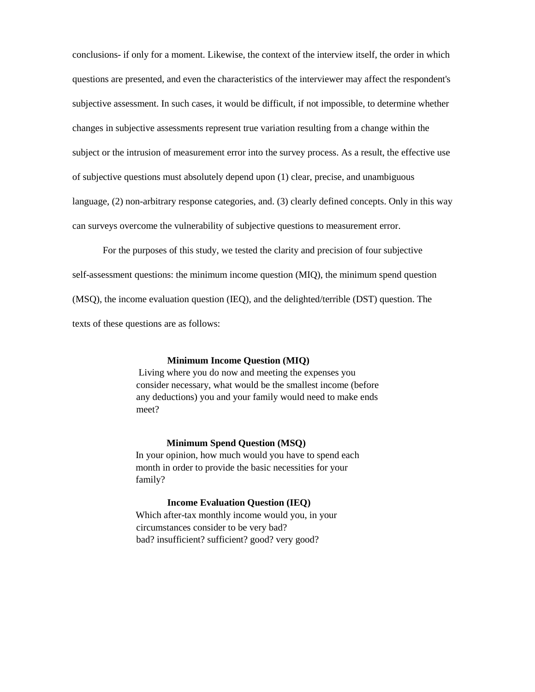conclusions- if only for a moment. Likewise, the context of the interview itself, the order in which questions are presented, and even the characteristics of the interviewer may affect the respondent's subjective assessment. In such cases, it would be difficult, if not impossible, to determine whether changes in subjective assessments represent true variation resulting from a change within the subject or the intrusion of measurement error into the survey process. As a result, the effective use of subjective questions must absolutely depend upon (1) clear, precise, and unambiguous language, (2) non-arbitrary response categories, and. (3) clearly defined concepts. Only in this way can surveys overcome the vulnerability of subjective questions to measurement error.

For the purposes of this study, we tested the clarity and precision of four subjective self-assessment questions: the minimum income question (MIQ), the minimum spend question (MSQ), the income evaluation question (IEQ), and the delighted/terrible (DST) question. The texts of these questions are as follows:

## **Minimum Income Question (MIQ)**

Living where you do now and meeting the expenses you consider necessary, what would be the smallest income (before any deductions) you and your family would need to make ends meet?

#### **Minimum Spend Question (MSQ)**

In your opinion, how much would you have to spend each month in order to provide the basic necessities for your family?

#### **Income Evaluation Question (IEQ)**

Which after-tax monthly income would you, in your circumstances consider to be very bad? bad? insufficient? sufficient? good? very good?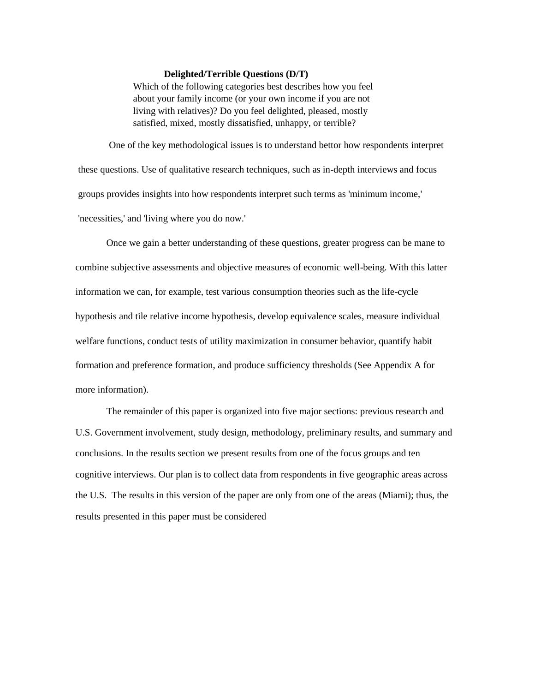#### **Delighted/Terrible Questions (D/T)**

Which of the following categories best describes how you feel about your family income (or your own income if you are not living with relatives)? Do you feel delighted, pleased, mostly satisfied, mixed, mostly dissatisfied, unhappy, or terrible?

One of the key methodological issues is to understand bettor how respondents interpret these questions. Use of qualitative research techniques, such as in-depth interviews and focus groups provides insights into how respondents interpret such terms as 'minimum income,' 'necessities,' and 'living where you do now.'

Once we gain a better understanding of these questions, greater progress can be mane to combine subjective assessments and objective measures of economic well-being. With this latter information we can, for example, test various consumption theories such as the life-cycle hypothesis and tile relative income hypothesis, develop equivalence scales, measure individual welfare functions, conduct tests of utility maximization in consumer behavior, quantify habit formation and preference formation, and produce sufficiency thresholds (See Appendix A for more information).

The remainder of this paper is organized into five major sections: previous research and U.S. Government involvement, study design, methodology, preliminary results, and summary and conclusions. In the results section we present results from one of the focus groups and ten cognitive interviews. Our plan is to collect data from respondents in five geographic areas across the U.S. The results in this version of the paper are only from one of the areas (Miami); thus, the results presented in this paper must be considered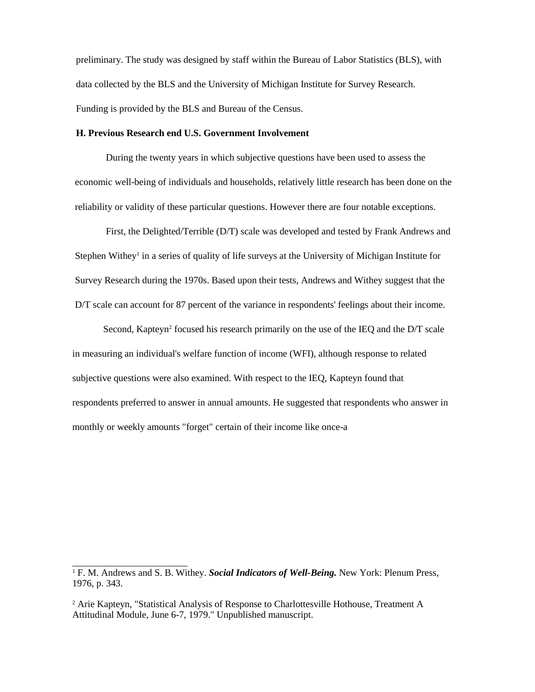preliminary. The study was designed by staff within the Bureau of Labor Statistics (BLS), with data collected by the BLS and the University of Michigan Institute for Survey Research. Funding is provided by the BLS and Bureau of the Census.

#### **H. Previous Research end U.S. Government Involvement**

During the twenty years in which subjective questions have been used to assess the economic well-being of individuals and households, relatively little research has been done on the reliability or validity of these particular questions. However there are four notable exceptions.

First, the Delighted/Terrible (D/T) scale was developed and tested by Frank Andrews and Stephen Withey<sup>1</sup> in a series of quality of life surveys at the University of Michigan Institute for Survey Research during the 1970s. Based upon their tests, Andrews and Withey suggest that the D/T scale can account for 87 percent of the variance in respondents' feelings about their income.

Second, Kapteyn<sup>2</sup> focused his research primarily on the use of the IEQ and the D/T scale in measuring an individual's welfare function of income (WFI), although response to related subjective questions were also examined. With respect to the IEQ, Kapteyn found that respondents preferred to answer in annual amounts. He suggested that respondents who answer in monthly or weekly amounts "forget" certain of their income like once-a

\_\_\_\_\_\_\_\_\_\_\_\_\_\_\_\_\_\_\_\_\_\_\_\_

<sup>1</sup> F. M. Andrews and S. B. Withey. *Social Indicators of Well-Being.* New York: Plenum Press, 1976, p. 343.

<sup>2</sup> Arie Kapteyn, "Statistical Analysis of Response to Charlottesville Hothouse, Treatment A Attitudinal Module, June 6-7, 1979." Unpublished manuscript.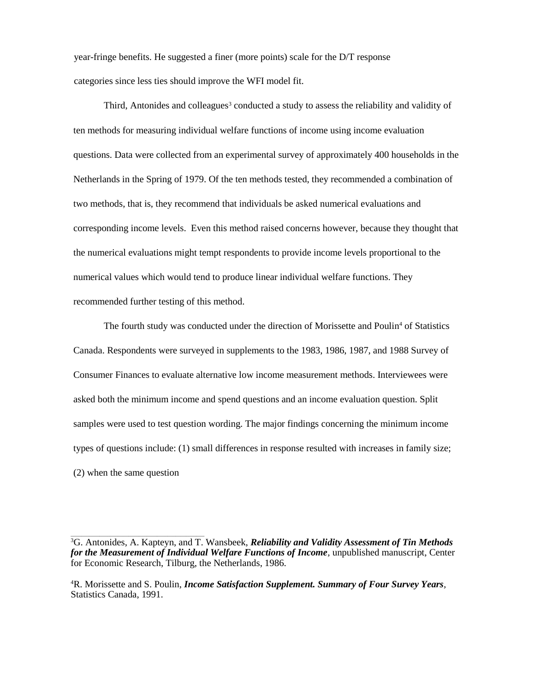year-fringe benefits. He suggested a finer (more points) scale for the D/T response categories since less ties should improve the WFI model fit.

Third, Antonides and colleagues<sup>3</sup> conducted a study to assess the reliability and validity of ten methods for measuring individual welfare functions of income using income evaluation questions. Data were collected from an experimental survey of approximately 400 households in the Netherlands in the Spring of 1979. Of the ten methods tested, they recommended a combination of two methods, that is, they recommend that individuals be asked numerical evaluations and corresponding income levels. Even this method raised concerns however, because they thought that the numerical evaluations might tempt respondents to provide income levels proportional to the numerical values which would tend to produce linear individual welfare functions. They recommended further testing of this method.

The fourth study was conducted under the direction of Morissette and Poulin<sup>4</sup> of Statistics Canada. Respondents were surveyed in supplements to the 1983, 1986, 1987, and 1988 Survey of Consumer Finances to evaluate alternative low income measurement methods. Interviewees were asked both the minimum income and spend questions and an income evaluation question. Split samples were used to test question wording. The major findings concerning the minimum income types of questions include: (1) small differences in response resulted with increases in family size; (2) when the same question

\_\_\_\_\_\_\_\_\_\_\_\_\_\_\_\_\_\_\_\_\_\_\_\_\_\_\_\_\_\_\_\_\_\_\_\_\_\_\_\_\_\_\_\_\_\_\_\_\_\_\_

<sup>3</sup>G. Antonides, A. Kapteyn, and T. Wansbeek, *Reliability and Validity Assessment of Tin Methods for the Measurement of Individual Welfare Functions of Income,* unpublished manuscript, Center for Economic Research, Tilburg, the Netherlands, 1986.

<sup>4</sup>R. Morissette and S. Poulin, *Income Satisfaction Supplement. Summary of Four Survey Years,*  Statistics Canada, 1991.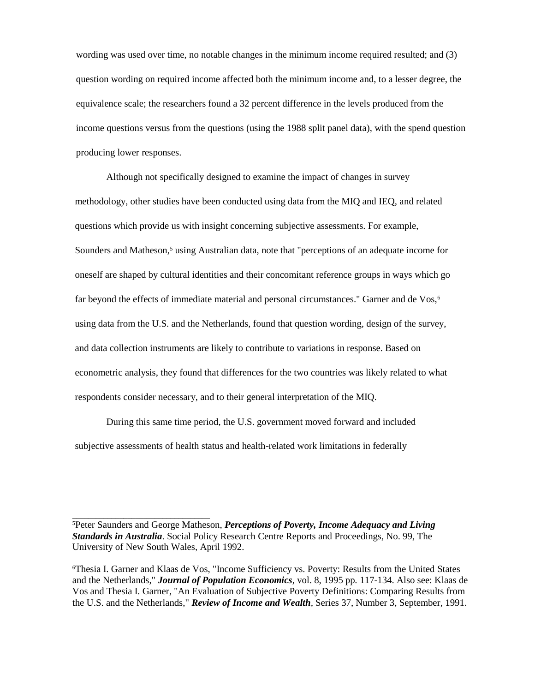wording was used over time, no notable changes in the minimum income required resulted; and (3) question wording on required income affected both the minimum income and, to a lesser degree, the equivalence scale; the researchers found a 32 percent difference in the levels produced from the income questions versus from the questions (using the 1988 split panel data), with the spend question producing lower responses.

Although not specifically designed to examine the impact of changes in survey methodology, other studies have been conducted using data from the MIQ and IEQ, and related questions which provide us with insight concerning subjective assessments. For example, Sounders and Matheson,<sup>5</sup> using Australian data, note that "perceptions of an adequate income for oneself are shaped by cultural identities and their concomitant reference groups in ways which go far beyond the effects of immediate material and personal circumstances." Garner and de Vos,<sup>6</sup> using data from the U.S. and the Netherlands, found that question wording, design of the survey, and data collection instruments are likely to contribute to variations in response. Based on econometric analysis, they found that differences for the two countries was likely related to what respondents consider necessary, and to their general interpretation of the MIQ.

During this same time period, the U.S. government moved forward and included subjective assessments of health status and health-related work limitations in federally

\_\_\_\_\_\_\_\_\_\_\_\_\_\_\_\_\_\_\_\_\_\_\_\_\_\_\_\_\_\_\_\_\_\_\_

<sup>5</sup>Peter Saunders and George Matheson, *Perceptions of Poverty, Income Adequacy and Living Standards in Australia*. Social Policy Research Centre Reports and Proceedings, No. 99, The University of New South Wales, April 1992.

<sup>6</sup>Thesia I. Garner and Klaas de Vos, "Income Sufficiency vs. Poverty: Results from the United States and the Netherlands," *Journal of Population Economics,* vol. 8, 1995 pp*.* 117-134. Also see: Klaas de Vos and Thesia I. Garner, "An Evaluation of Subjective Poverty Definitions: Comparing Results from the U.S. and the Netherlands," *Review of Income and Wealth,* Series 37, Number 3, September, 1991.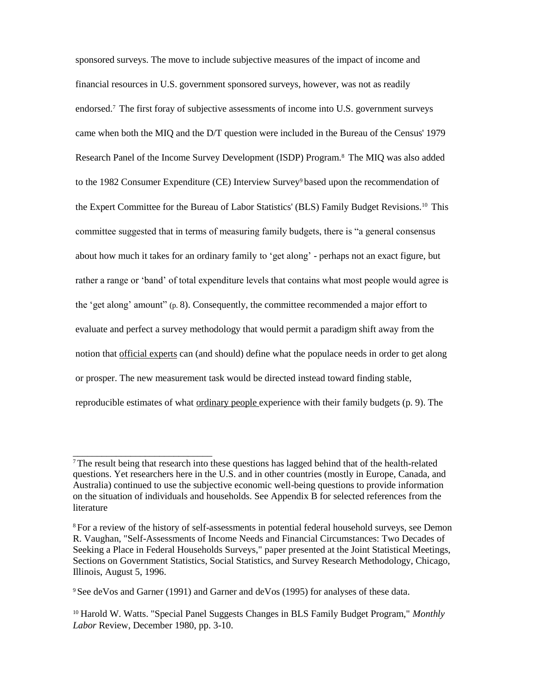sponsored surveys. The move to include subjective measures of the impact of income and financial resources in U.S. government sponsored surveys, however, was not as readily endorsed.7 The first foray of subjective assessments of income into U.S. government surveys came when both the MIQ and the D/T question were included in the Bureau of the Census' 1979 Research Panel of the Income Survey Development (ISDP) Program.8 The MIQ was also added to the 1982 Consumer Expenditure (CE) Interview Survey<sup>9</sup> based upon the recommendation of the Expert Committee for the Bureau of Labor Statistics' (BLS) Family Budget Revisions.<sup>10</sup> This committee suggested that in terms of measuring family budgets, there is "a general consensus about how much it takes for an ordinary family to 'get along' - perhaps not an exact figure, but rather a range or 'band' of total expenditure levels that contains what most people would agree is the 'get along' amount" (p. 8). Consequently, the committee recommended a major effort to evaluate and perfect a survey methodology that would permit a paradigm shift away from the notion that official experts can (and should) define what the populace needs in order to get along or prosper. The new measurement task would be directed instead toward finding stable, reproducible estimates of what ordinary people experience with their family budgets (p. 9). The

\_\_\_\_\_\_\_\_\_\_\_\_\_\_\_\_\_\_\_\_\_\_\_\_\_\_\_\_\_

<sup>7</sup>The result being that research into these questions has lagged behind that of the health-related questions. Yet researchers here in the U.S. and in other countries (mostly in Europe, Canada, and Australia) continued to use the subjective economic well-being questions to provide information on the situation of individuals and households. See Appendix B for selected references from the literature

<sup>8</sup>For a review of the history of self-assessments in potential federal household surveys, see Demon R. Vaughan, "Self-Assessments of Income Needs and Financial Circumstances: Two Decades of Seeking a Place in Federal Households Surveys," paper presented at the Joint Statistical Meetings, Sections on Government Statistics, Social Statistics, and Survey Research Methodology, Chicago, Illinois, August 5, 1996.

<sup>9</sup>See deVos and Garner (1991) and Garner and deVos (1995) for analyses of these data.

<sup>10</sup> Harold W. Watts. "Special Panel Suggests Changes in BLS Family Budget Program," *Monthly Labor* Review, December 1980, pp. 3-10.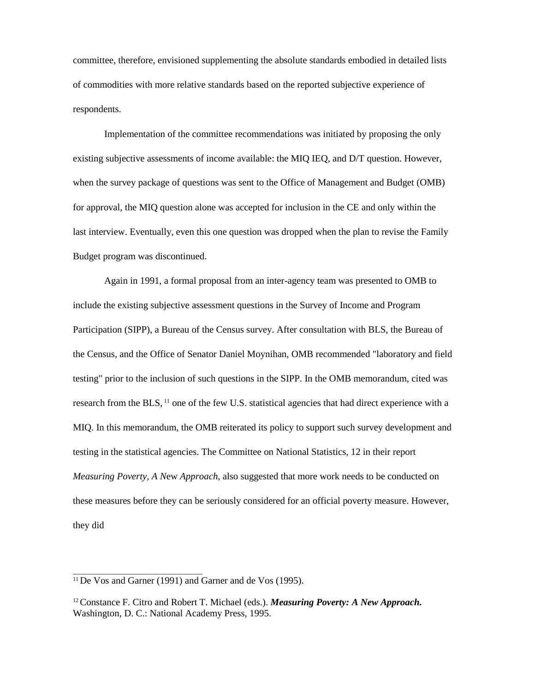committee, therefore, envisioned supplementing the absolute standards embodied in detailed lists of commodities with more relative standards based on the reported subjective experience of respondents.

Implementation of the committee recommendations was initiated by proposing the only existing subjective assessments of income available: the MIQ IEQ, and D/T question. However, when the survey package of questions was sent to the Office of Management and Budget (OMB) for approval, the MIQ question alone was accepted for inclusion in the CE and only within the last interview. Eventually, even this one question was dropped when the plan to revise the Family Budget program was discontinued.

Again in 1991, a formal proposal from an inter-agency team was presented to OMB to include the existing subjective assessment questions in the Survey of Income and Program Participation (SIPP), a Bureau of the Census survey. After consultation with BLS, the Bureau of the Census, and the Office of Senator Daniel Moynihan, OMB recommended "laboratory and field testing" prior to the inclusion of such questions in the SIPP. In the OMB memorandum, cited was research from the BLS, <sup>11</sup> one of the few U.S. statistical agencies that had direct experience with a MIQ. In this memorandum, the OMB reiterated its policy to support such survey development and testing in the statistical agencies. The Committee on National Statistics, 12 in their report *Measuring Poverty, A N*ew *Approach*, also suggested that more work needs to be conducted on these measures before they can be seriously considered for an official poverty measure. However, they did

\_\_\_\_\_\_\_\_\_\_\_\_\_\_\_\_\_\_\_\_\_\_\_\_\_\_\_\_\_\_\_\_\_

<sup>11</sup>De Vos and Garner (1991) and Garner and de Vos (1995).

<sup>12</sup>Constance F. Citro and Robert T. Michael (eds.). *Measuring Poverty: A New Approach.* Washington, D. C.: National Academy Press, 1995.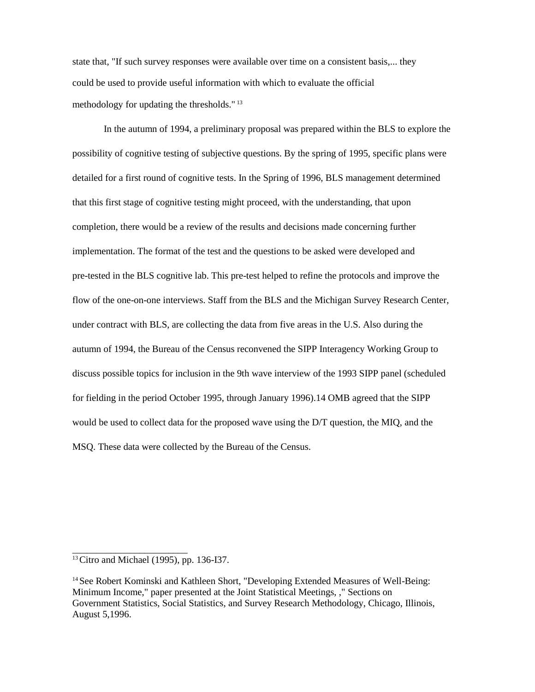state that, "If such survey responses were available over time on a consistent basis,... they could be used to provide useful information with which to evaluate the official methodology for updating the thresholds." <sup>13</sup>

In the autumn of 1994, a preliminary proposal was prepared within the BLS to explore the possibility of cognitive testing of subjective questions. By the spring of 1995, specific plans were detailed for a first round of cognitive tests. In the Spring of 1996, BLS management determined that this first stage of cognitive testing might proceed, with the understanding, that upon completion, there would be a review of the results and decisions made concerning further implementation. The format of the test and the questions to be asked were developed and pre-tested in the BLS cognitive lab. This pre-test helped to refine the protocols and improve the flow of the one-on-one interviews. Staff from the BLS and the Michigan Survey Research Center, under contract with BLS, are collecting the data from five areas in the U.S. Also during the autumn of 1994, the Bureau of the Census reconvened the SIPP Interagency Working Group to discuss possible topics for inclusion in the 9th wave interview of the 1993 SIPP panel (scheduled for fielding in the period October 1995, through January 1996).14 OMB agreed that the SIPP would be used to collect data for the proposed wave using the D/T question, the MIQ, and the MSQ. These data were collected by the Bureau of the Census.

\_\_\_\_\_\_\_\_\_\_\_\_\_\_\_\_\_\_\_\_\_\_\_\_

<sup>13</sup>Citro and Michael (1995), pp. 136-I37.

<sup>14</sup> See Robert Kominski and Kathleen Short, "Developing Extended Measures of Well-Being: Minimum Income," paper presented at the Joint Statistical Meetings, ," Sections on Government Statistics, Social Statistics, and Survey Research Methodology, Chicago, Illinois, August 5,1996.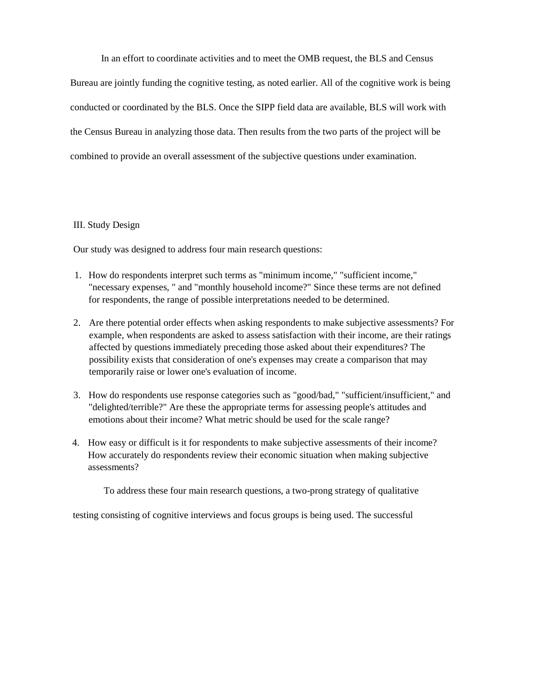In an effort to coordinate activities and to meet the OMB request, the BLS and Census

Bureau are jointly funding the cognitive testing, as noted earlier. All of the cognitive work is being conducted or coordinated by the BLS. Once the SIPP field data are available, BLS will work with the Census Bureau in analyzing those data. Then results from the two parts of the project will be combined to provide an overall assessment of the subjective questions under examination.

#### III. Study Design

Our study was designed to address four main research questions:

- 1. How do respondents interpret such terms as "minimum income," "sufficient income," "necessary expenses, " and "monthly household income?" Since these terms are not defined for respondents, the range of possible interpretations needed to be determined.
- 2. Are there potential order effects when asking respondents to make subjective assessments? For example, when respondents are asked to assess satisfaction with their income, are their ratings affected by questions immediately preceding those asked about their expenditures? The possibility exists that consideration of one's expenses may create a comparison that may temporarily raise or lower one's evaluation of income.
- 3. How do respondents use response categories such as "good/bad," "sufficient/insufficient," and "delighted/terrible?" Are these the appropriate terms for assessing people's attitudes and emotions about their income? What metric should be used for the scale range?
- 4. How easy or difficult is it for respondents to make subjective assessments of their income? How accurately do respondents review their economic situation when making subjective assessments?

To address these four main research questions, a two-prong strategy of qualitative

testing consisting of cognitive interviews and focus groups is being used. The successful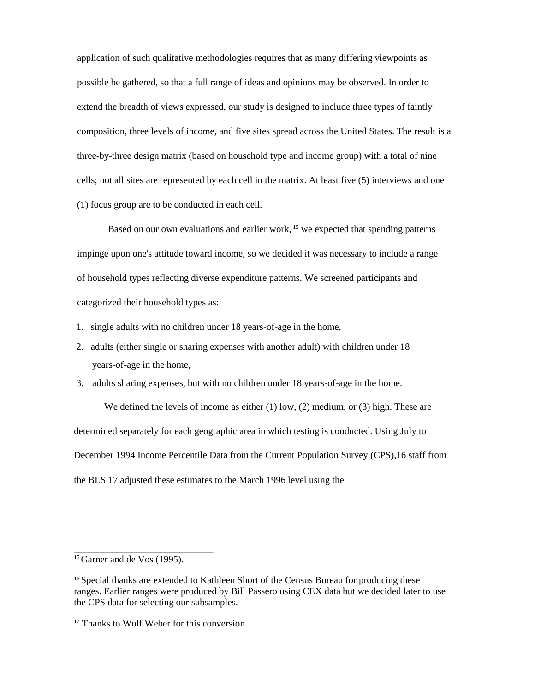application of such qualitative methodologies requires that as many differing viewpoints as possible be gathered, so that a full range of ideas and opinions may be observed. In order to extend the breadth of views expressed, our study is designed to include three types of faintly composition, three levels of income, and five sites spread across the United States. The result is a three-by-three design matrix (based on household type and income group) with a total of nine cells; not all sites are represented by each cell in the matrix. At least five (5) interviews and one (1) focus group are to be conducted in each cell.

Based on our own evaluations and earlier work, <sup>15</sup> we expected that spending patterns impinge upon one's attitude toward income, so we decided it was necessary to include a range of household types reflecting diverse expenditure patterns. We screened participants and categorized their household types as:

- 1. single adults with no children under 18 years-of-age in the home,
- 2. adults (either single or sharing expenses with another adult) with children under 18 years-of-age in the home,
- 3. adults sharing expenses, but with no children under 18 years-of-age in the home.

We defined the levels of income as either (1) low, (2) medium, or (3) high. These are determined separately for each geographic area in which testing is conducted. Using July to December 1994 Income Percentile Data from the Current Population Survey (CPS),16 staff from the BLS 17 adjusted these estimates to the March 1996 level using the

\_\_\_\_\_\_\_\_\_\_\_\_\_\_\_\_\_\_\_\_\_\_\_\_\_\_\_\_\_

<sup>&</sup>lt;sup>15</sup> Garner and de Vos (1995).

<sup>&</sup>lt;sup>16</sup> Special thanks are extended to Kathleen Short of the Census Bureau for producing these ranges. Earlier ranges were produced by Bill Passero using CEX data but we decided later to use the CPS data for selecting our subsamples.

<sup>&</sup>lt;sup>17</sup> Thanks to Wolf Weber for this conversion.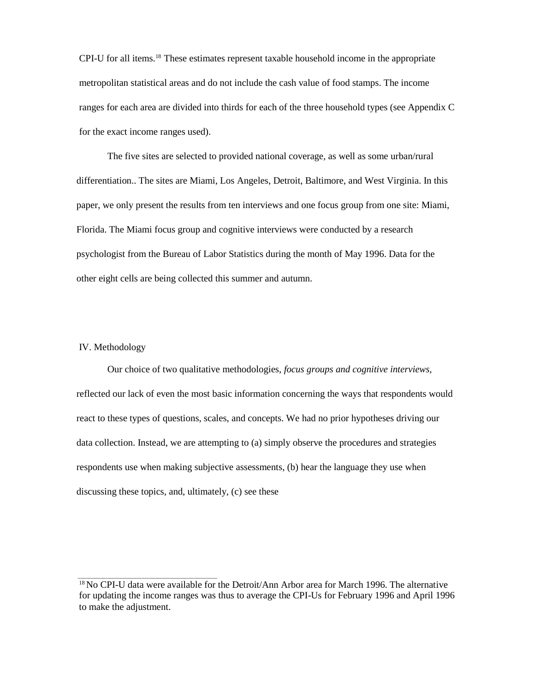CPI-U for all items.18 These estimates represent taxable household income in the appropriate metropolitan statistical areas and do not include the cash value of food stamps. The income ranges for each area are divided into thirds for each of the three household types (see Appendix C for the exact income ranges used).

The five sites are selected to provided national coverage, as well as some urban/rural differentiation.. The sites are Miami, Los Angeles, Detroit, Baltimore, and West Virginia. In this paper, we only present the results from ten interviews and one focus group from one site: Miami, Florida. The Miami focus group and cognitive interviews were conducted by a research psychologist from the Bureau of Labor Statistics during the month of May 1996. Data for the other eight cells are being collected this summer and autumn.

#### IV. Methodology

 $\overline{\phantom{a}}$  , and the contract of the contract of the contract of the contract of the contract of the contract of the contract of the contract of the contract of the contract of the contract of the contract of the contrac

Our choice of two qualitative methodologies, *focus groups and cognitive interviews,*  reflected our lack of even the most basic information concerning the ways that respondents would react to these types of questions, scales, and concepts. We had no prior hypotheses driving our data collection. Instead, we are attempting to (a) simply observe the procedures and strategies respondents use when making subjective assessments, (b) hear the language they use when discussing these topics, and, ultimately, (c) see these

<sup>&</sup>lt;sup>18</sup> No CPI-U data were available for the Detroit/Ann Arbor area for March 1996. The alternative for updating the income ranges was thus to average the CPI-Us for February 1996 and April 1996 to make the adjustment.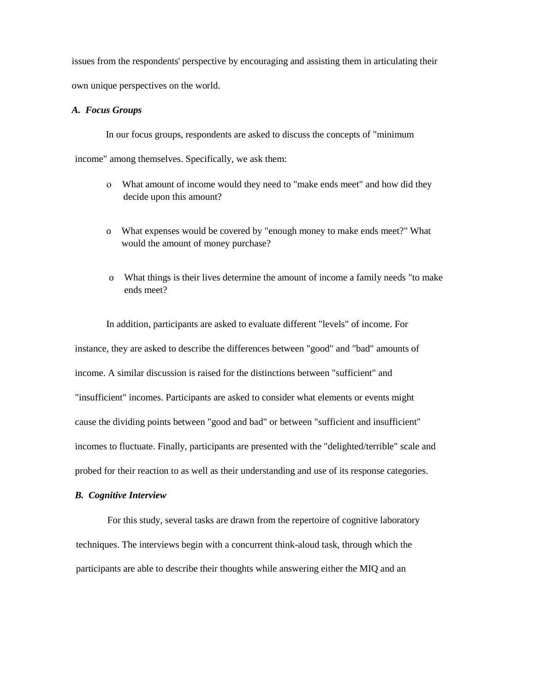issues from the respondents' perspective by encouraging and assisting them in articulating their own unique perspectives on the world.

#### *A. Focus Groups*

In our focus groups, respondents are asked to discuss the concepts of "minimum income" among themselves. Specifically, we ask them:

- What amount of income would they need to "make ends meet" and how did they decide upon this amount?
- o What expenses would be covered by "enough money to make ends meet?" What would the amount of money purchase?
- o What things is their lives determine the amount of income a family needs "to make ends meet?

In addition, participants are asked to evaluate different "levels" of income. For instance, they are asked to describe the differences between "good" and "bad" amounts of income. A similar discussion is raised for the distinctions between "sufficient" and "insufficient" incomes. Participants are asked to consider what elements or events might cause the dividing points between "good and bad" or between "sufficient and insufficient" incomes to fluctuate. Finally, participants are presented with the "delighted/terrible" scale and probed for their reaction to as well as their understanding and use of its response categories.

#### *B. Cognitive Interview*

For this study, several tasks are drawn from the repertoire of cognitive laboratory techniques. The interviews begin with a concurrent think-aloud task, through which the participants are able to describe their thoughts while answering either the MIQ and an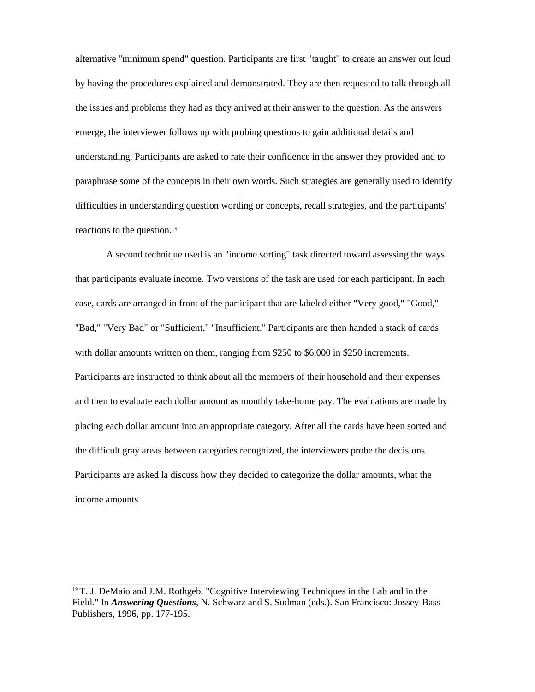alternative "minimum spend" question. Participants are first "taught" to create an answer out loud by having the procedures explained and demonstrated. They are then requested to talk through all the issues and problems they had as they arrived at their answer to the question. As the answers emerge, the interviewer follows up with probing questions to gain additional details and understanding. Participants are asked to rate their confidence in the answer they provided and to paraphrase some of the concepts in their own words. Such strategies are generally used to identify difficulties in understanding question wording or concepts, recall strategies, and the participants' reactions to the question.<sup>19</sup>

A second technique used is an "income sorting" task directed toward assessing the ways that participants evaluate income. Two versions of the task are used for each participant. In each case, cards are arranged in front of the participant that are labeled either "Very good," "Good," "Bad," "Very Bad" or "Sufficient," "Insufficient." Participants are then handed a stack of cards with dollar amounts written on them, ranging from \$250 to \$6,000 in \$250 increments. Participants are instructed to think about all the members of their household and their expenses and then to evaluate each dollar amount as monthly take-home pay. The evaluations are made by placing each dollar amount into an appropriate category. After all the cards have been sorted and the difficult gray areas between categories recognized, the interviewers probe the decisions. Participants are asked la discuss how they decided to categorize the dollar amounts, what the income amounts

\_\_\_\_\_\_\_\_\_\_\_\_\_\_\_\_\_\_\_\_\_\_\_\_\_\_\_\_\_\_\_\_\_\_\_\_\_\_\_\_\_\_\_\_\_\_\_\_\_\_\_

<sup>19</sup>T. J. DeMaio and J.M. Rothgeb. "Cognitive Interviewing Techniques in the Lab and in the Field." In *Answering Questions*, N. Schwarz and S. Sudman (eds.). San Francisco: Jossey-Bass Publishers, 1996, pp. 177-195.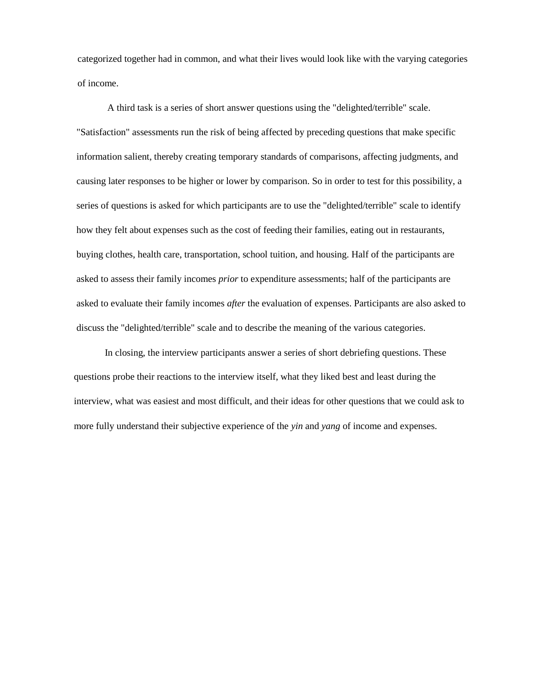categorized together had in common, and what their lives would look like with the varying categories of income.

A third task is a series of short answer questions using the "delighted/terrible" scale. "Satisfaction" assessments run the risk of being affected by preceding questions that make specific information salient, thereby creating temporary standards of comparisons, affecting judgments, and causing later responses to be higher or lower by comparison. So in order to test for this possibility, a series of questions is asked for which participants are to use the "delighted/terrible" scale to identify how they felt about expenses such as the cost of feeding their families, eating out in restaurants, buying clothes, health care, transportation, school tuition, and housing. Half of the participants are asked to assess their family incomes *prior* to expenditure assessments; half of the participants are asked to evaluate their family incomes *after* the evaluation of expenses. Participants are also asked to discuss the "delighted/terrible" scale and to describe the meaning of the various categories.

In closing, the interview participants answer a series of short debriefing questions. These questions probe their reactions to the interview itself, what they liked best and least during the interview, what was easiest and most difficult, and their ideas for other questions that we could ask to more fully understand their subjective experience of the *yin* and *yang* of income and expenses.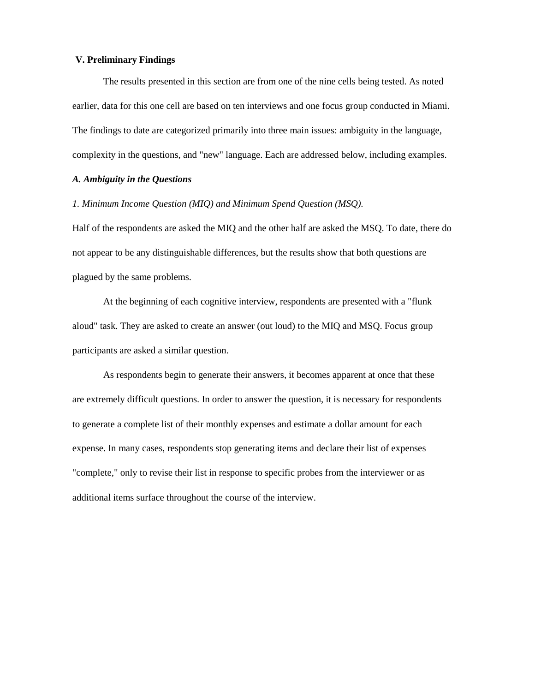#### **V. Preliminary Findings**

The results presented in this section are from one of the nine cells being tested. As noted earlier, data for this one cell are based on ten interviews and one focus group conducted in Miami. The findings to date are categorized primarily into three main issues: ambiguity in the language, complexity in the questions, and "new" language. Each are addressed below, including examples.

## *A. Ambiguity in the Questions*

*1. Minimum Income Question (MIQ) and Minimum Spend Question (MSQ).*

Half of the respondents are asked the MIQ and the other half are asked the MSQ. To date, there do not appear to be any distinguishable differences, but the results show that both questions are plagued by the same problems.

At the beginning of each cognitive interview, respondents are presented with a "flunk aloud" task. They are asked to create an answer (out loud) to the MIQ and MSQ. Focus group participants are asked a similar question.

As respondents begin to generate their answers, it becomes apparent at once that these are extremely difficult questions. In order to answer the question, it is necessary for respondents to generate a complete list of their monthly expenses and estimate a dollar amount for each expense. In many cases, respondents stop generating items and declare their list of expenses "complete," only to revise their list in response to specific probes from the interviewer or as additional items surface throughout the course of the interview.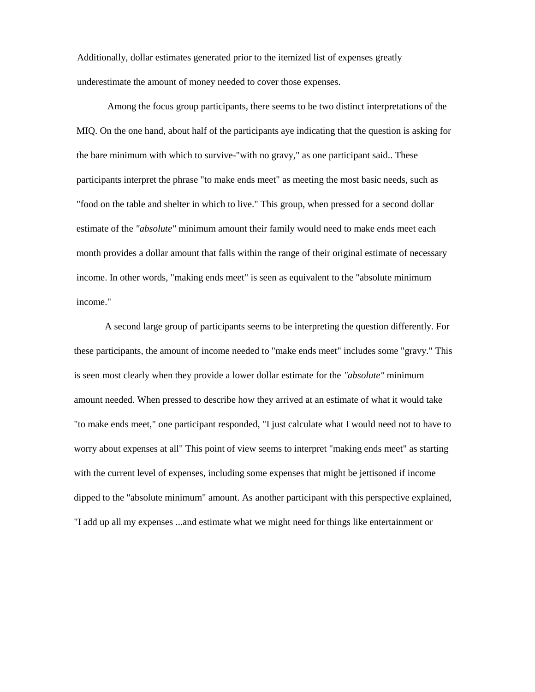Additionally, dollar estimates generated prior to the itemized list of expenses greatly underestimate the amount of money needed to cover those expenses.

Among the focus group participants, there seems to be two distinct interpretations of the MIQ. On the one hand, about half of the participants aye indicating that the question is asking for the bare minimum with which to survive-"with no gravy," as one participant said.. These participants interpret the phrase "to make ends meet" as meeting the most basic needs, such as "food on the table and shelter in which to live." This group, when pressed for a second dollar estimate of the *"absolute"* minimum amount their family would need to make ends meet each month provides a dollar amount that falls within the range of their original estimate of necessary income. In other words, "making ends meet" is seen as equivalent to the "absolute minimum income."

A second large group of participants seems to be interpreting the question differently. For these participants, the amount of income needed to "make ends meet" includes some "gravy." This is seen most clearly when they provide a lower dollar estimate for the *"absolute"* minimum amount needed. When pressed to describe how they arrived at an estimate of what it would take "to make ends meet," one participant responded, "I just calculate what I would need not to have to worry about expenses at all" This point of view seems to interpret "making ends meet" as starting with the current level of expenses, including some expenses that might be jettisoned if income dipped to the "absolute minimum" amount. As another participant with this perspective explained, "I add up all my expenses ...and estimate what we might need for things like entertainment or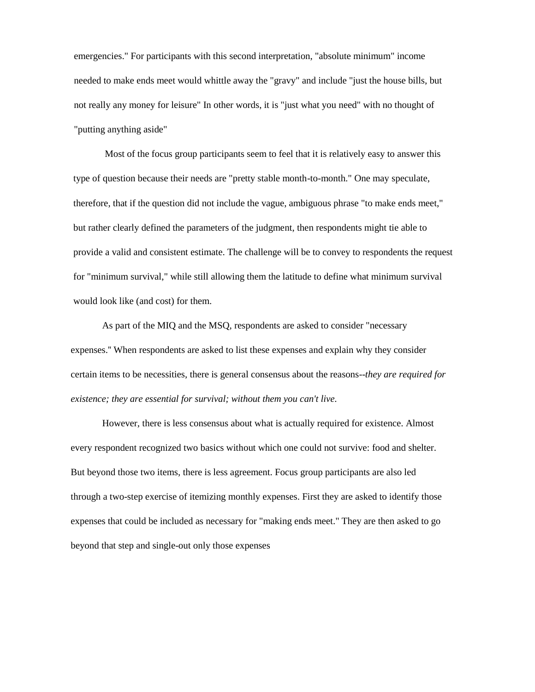emergencies." For participants with this second interpretation, "absolute minimum" income needed to make ends meet would whittle away the "gravy" and include "just the house bills, but not really any money for leisure" In other words, it is "just what you need" with no thought of "putting anything aside"

Most of the focus group participants seem to feel that it is relatively easy to answer this type of question because their needs are "pretty stable month-to-month." One may speculate, therefore, that if the question did not include the vague, ambiguous phrase "to make ends meet," but rather clearly defined the parameters of the judgment, then respondents might tie able to provide a valid and consistent estimate. The challenge will be to convey to respondents the request for "minimum survival," while still allowing them the latitude to define what minimum survival would look like (and cost) for them.

As part of the MIQ and the MSQ, respondents are asked to consider "necessary expenses.'' When respondents are asked to list these expenses and explain why they consider certain items to be necessities, there is general consensus about the reasons--*they are required for existence; they are essential for survival; without them you can't live.*

However, there is less consensus about what is actually required for existence. Almost every respondent recognized two basics without which one could not survive: food and shelter. But beyond those two items, there is less agreement. Focus group participants are also led through a two-step exercise of itemizing monthly expenses. First they are asked to identify those expenses that could be included as necessary for "making ends meet." They are then asked to go beyond that step and single-out only those expenses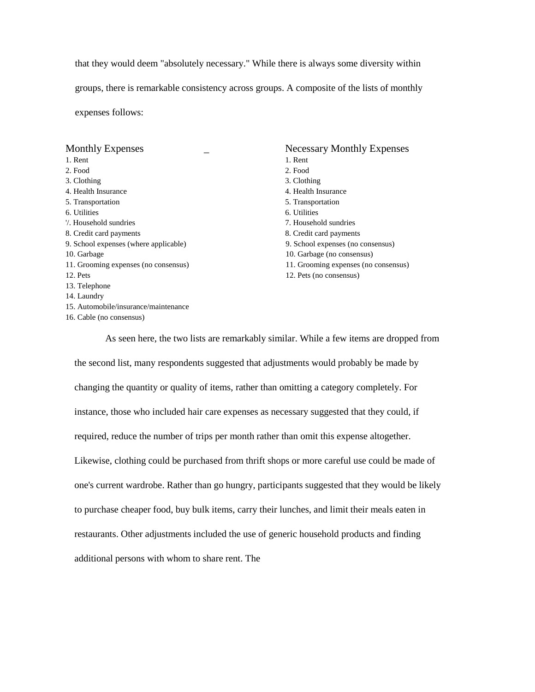that they would deem "absolutely necessary." While there is always some diversity within groups, there is remarkable consistency across groups. A composite of the lists of monthly expenses follows:

| <b>Monthly Expenses</b>               | <b>Necessary Monthly Expenses</b>    |
|---------------------------------------|--------------------------------------|
| 1. Rent                               | 1. Rent                              |
| 2. Food                               | 2. Food                              |
| 3. Clothing                           | 3. Clothing                          |
| 4. Health Insurance                   | 4. Health Insurance                  |
| 5. Transportation                     | 5. Transportation                    |
| 6. Utilities                          | 6. Utilities                         |
| 7. Household sundries                 | 7. Household sundries                |
| 8. Credit card payments               | 8. Credit card payments              |
| 9. School expenses (where applicable) | 9. School expenses (no consensus)    |
| 10. Garbage                           | 10. Garbage (no consensus)           |
| 11. Grooming expenses (no consensus)  | 11. Grooming expenses (no consensus) |
| 12. Pets                              | 12. Pets (no consensus)              |
| 13. Telephone                         |                                      |
| 14. Laundry                           |                                      |
| 15. Automobile/insurance/maintenance  |                                      |
| 16. Cable (no consensus)              |                                      |

As seen here, the two lists are remarkably similar. While a few items are dropped from the second list, many respondents suggested that adjustments would probably be made by changing the quantity or quality of items, rather than omitting a category completely. For instance, those who included hair care expenses as necessary suggested that they could, if required, reduce the number of trips per month rather than omit this expense altogether. Likewise, clothing could be purchased from thrift shops or more careful use could be made of one's current wardrobe. Rather than go hungry, participants suggested that they would be likely to purchase cheaper food, buy bulk items, carry their lunches, and limit their meals eaten in restaurants. Other adjustments included the use of generic household products and finding additional persons with whom to share rent. The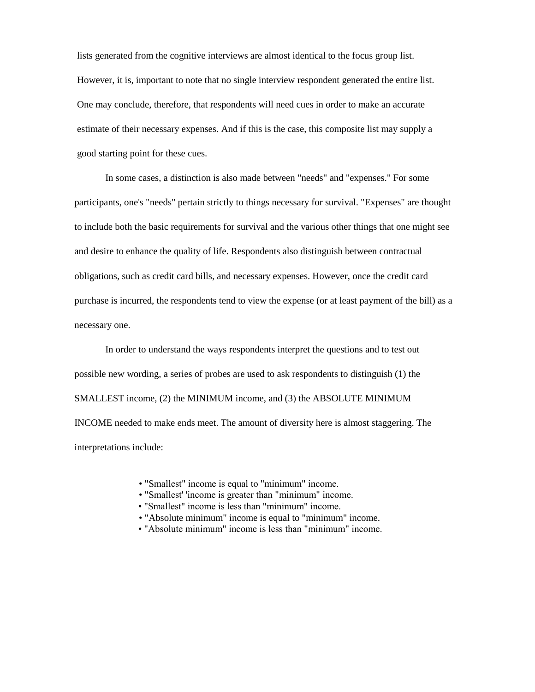lists generated from the cognitive interviews are almost identical to the focus group list. However, it is, important to note that no single interview respondent generated the entire list. One may conclude, therefore, that respondents will need cues in order to make an accurate estimate of their necessary expenses. And if this is the case, this composite list may supply a good starting point for these cues.

In some cases, a distinction is also made between "needs" and "expenses." For some participants, one's "needs" pertain strictly to things necessary for survival. "Expenses" are thought to include both the basic requirements for survival and the various other things that one might see and desire to enhance the quality of life. Respondents also distinguish between contractual obligations, such as credit card bills, and necessary expenses. However, once the credit card purchase is incurred, the respondents tend to view the expense (or at least payment of the bill) as a necessary one.

In order to understand the ways respondents interpret the questions and to test out possible new wording, a series of probes are used to ask respondents to distinguish (1) the SMALLEST income, (2) the MINIMUM income, and (3) the ABSOLUTE MINIMUM INCOME needed to make ends meet. The amount of diversity here is almost staggering. The interpretations include:

- "Smallest" income is equal to "minimum" income.
- "Smallest' 'income is greater than "minimum" income.
- "Smallest" income is less than "minimum" income.
- "Absolute minimum" income is equal to "minimum" income.
- "Absolute minimum" income is less than "minimum" income.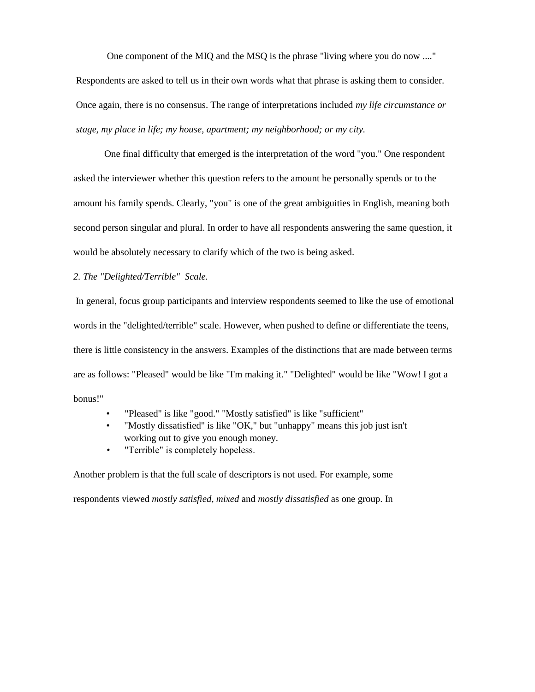One component of the MIQ and the MSQ is the phrase "living where you do now ...."

Respondents are asked to tell us in their own words what that phrase is asking them to consider. Once again, there is no consensus. The range of interpretations included *my life circumstance or stage, my place in life; my house, apartment; my neighborhood; or my city.*

One final difficulty that emerged is the interpretation of the word "you." One respondent asked the interviewer whether this question refers to the amount he personally spends or to the amount his family spends. Clearly, "you" is one of the great ambiguities in English, meaning both second person singular and plural. In order to have all respondents answering the same question, it would be absolutely necessary to clarify which of the two is being asked.

#### *2. The "Delighted/Terrible" Scale.*

In general, focus group participants and interview respondents seemed to like the use of emotional words in the "delighted/terrible" scale. However, when pushed to define or differentiate the teens, there is little consistency in the answers. Examples of the distinctions that are made between terms are as follows: "Pleased" would be like "I'm making it." "Delighted" would be like "Wow! I got a bonus!"

- "Pleased" is like "good." "Mostly satisfied" is like "sufficient"
- "Mostly dissatisfied" is like "OK," but "unhappy" means this job just isn't working out to give you enough money.
- "Terrible" is completely hopeless.

Another problem is that the full scale of descriptors is not used. For example, some

respondents viewed *mostly satisfied, mixed* and *mostly dissatisfied* as one group. In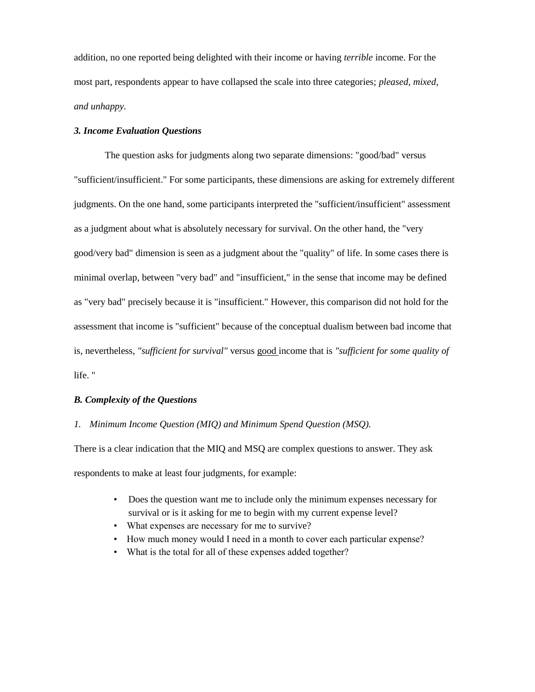addition, no one reported being delighted with their income or having *terrible* income. For the most part, respondents appear to have collapsed the scale into three categories; *pleased, mixed, and unhappy.*

#### *3. Income Evaluation Questions*

The question asks for judgments along two separate dimensions: "good/bad" versus "sufficient/insufficient." For some participants, these dimensions are asking for extremely different judgments. On the one hand, some participants interpreted the "sufficient/insufficient" assessment as a judgment about what is absolutely necessary for survival. On the other hand, the "very good/very bad" dimension is seen as a judgment about the "quality" of life. In some cases there is minimal overlap, between "very bad" and "insufficient," in the sense that income may be defined as "very bad" precisely because it is "insufficient." However, this comparison did not hold for the assessment that income is "sufficient" because of the conceptual dualism between bad income that is, nevertheless, *"sufficient for survival"* versus good income that is *"sufficient for some quality of*  life. "

## *B. Complexity of the Questions*

#### *1. Minimum Income Question (MIQ) and Minimum Spend Question (MSQ).*

There is a clear indication that the MIQ and MSQ are complex questions to answer. They ask respondents to make at least four judgments, for example:

- Does the question want me to include only the minimum expenses necessary for survival or is it asking for me to begin with my current expense level?
- What expenses are necessary for me to survive?
- How much money would I need in a month to cover each particular expense?
- What is the total for all of these expenses added together?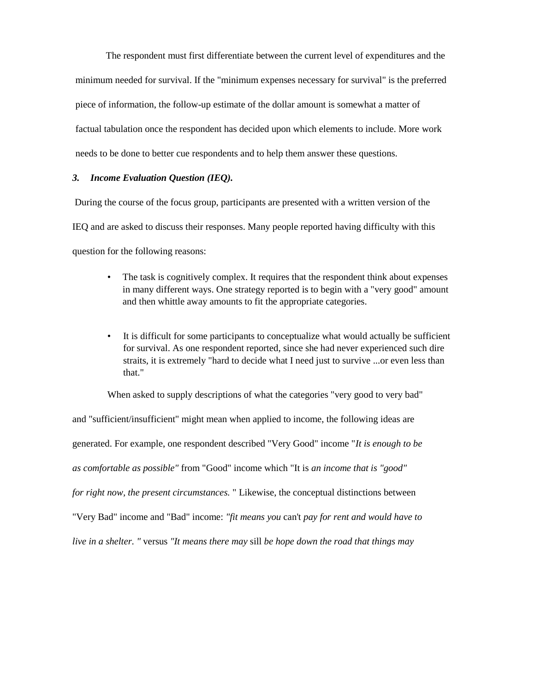The respondent must first differentiate between the current level of expenditures and the minimum needed for survival. If the "minimum expenses necessary for survival" is the preferred piece of information, the follow-up estimate of the dollar amount is somewhat a matter of factual tabulation once the respondent has decided upon which elements to include. More work needs to be done to better cue respondents and to help them answer these questions.

## *3. Income Evaluation Question (IEQ).*

During the course of the focus group, participants are presented with a written version of the IEQ and are asked to discuss their responses. Many people reported having difficulty with this question for the following reasons:

- The task is cognitively complex. It requires that the respondent think about expenses in many different ways. One strategy reported is to begin with a "very good" amount and then whittle away amounts to fit the appropriate categories.
- It is difficult for some participants to conceptualize what would actually be sufficient for survival. As one respondent reported, since she had never experienced such dire straits, it is extremely "hard to decide what I need just to survive ...or even less than that."

When asked to supply descriptions of what the categories "very good to very bad"

and "sufficient/insufficient" might mean when applied to income, the following ideas are generated. For example, one respondent described "Very Good" income "*It is enough to be as comfortable as possible"* from "Good" income which "It is *an income that is "good" for right now, the present circumstances.* " Likewise, the conceptual distinctions between "Very Bad" income and "Bad" income: *"fit means you* can't *pay for rent and would have to live in a shelter. "* versus *"It means there may* sill *be hope down the road that things may*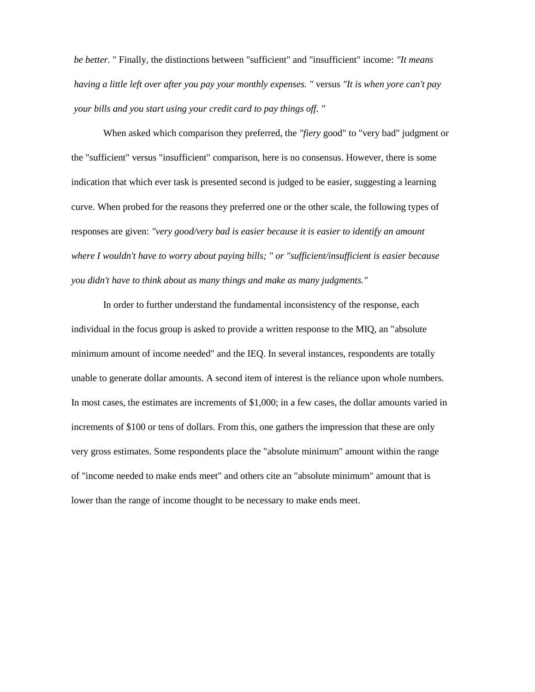*be better.* " Finally, the distinctions between "sufficient" and "insufficient" income: *"It means having a little left over after you pay your monthly expenses. "* versus *"It is when yore can't pay your bills and you start using your credit card to pay things off. "*

When asked which comparison they preferred, the *"fiery* good" to "very bad" judgment or the "sufficient" versus "insufficient" comparison, here is no consensus. However, there is some indication that which ever task is presented second is judged to be easier, suggesting a learning curve. When probed for the reasons they preferred one or the other scale, the following types of responses are given: *"very good/very bad is easier because it is easier to identify an amount where I wouldn't have to worry about paying bills; " or "sufficient/insufficient is easier because you didn't have to think about as many things and make as many judgments."*

In order to further understand the fundamental inconsistency of the response, each individual in the focus group is asked to provide a written response to the MIQ, an "absolute minimum amount of income needed" and the IEQ. In several instances, respondents are totally unable to generate dollar amounts. A second item of interest is the reliance upon whole numbers. In most cases, the estimates are increments of \$1,000; in a few cases, the dollar amounts varied in increments of \$100 or tens of dollars. From this, one gathers the impression that these are only very gross estimates. Some respondents place the "absolute minimum" amount within the range of "income needed to make ends meet" and others cite an "absolute minimum" amount that is lower than the range of income thought to be necessary to make ends meet.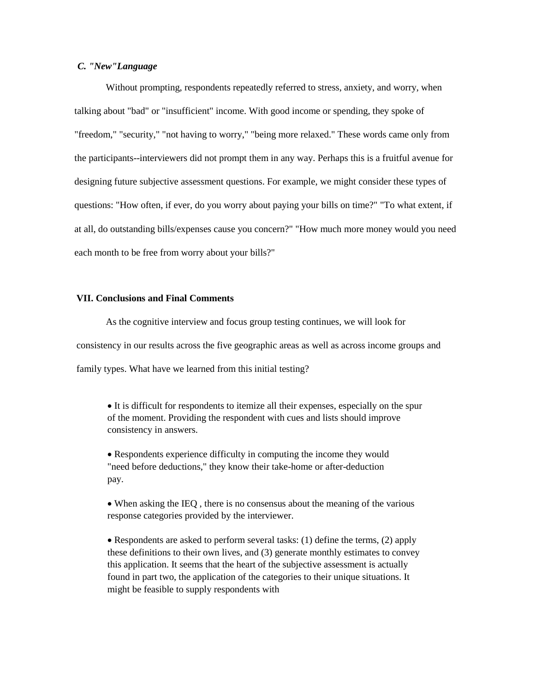#### *C. "New"Language*

Without prompting, respondents repeatedly referred to stress, anxiety, and worry, when talking about "bad" or "insufficient" income. With good income or spending, they spoke of "freedom," "security," "not having to worry," "being more relaxed." These words came only from the participants--interviewers did not prompt them in any way. Perhaps this is a fruitful avenue for designing future subjective assessment questions. For example, we might consider these types of questions: "How often, if ever, do you worry about paying your bills on time?" "To what extent, if at all, do outstanding bills/expenses cause you concern?" "How much more money would you need each month to be free from worry about your bills?"

## **VII. Conclusions and Final Comments**

As the cognitive interview and focus group testing continues, we will look for consistency in our results across the five geographic areas as well as across income groups and family types. What have we learned from this initial testing?

 It is difficult for respondents to itemize all their expenses, especially on the spur of the moment. Providing the respondent with cues and lists should improve consistency in answers.

 Respondents experience difficulty in computing the income they would "need before deductions," they know their take-home or after-deduction pay.

 When asking the IEQ , there is no consensus about the meaning of the various response categories provided by the interviewer.

• Respondents are asked to perform several tasks: (1) define the terms, (2) apply these definitions to their own lives, and (3) generate monthly estimates to convey this application. It seems that the heart of the subjective assessment is actually found in part two, the application of the categories to their unique situations. It might be feasible to supply respondents with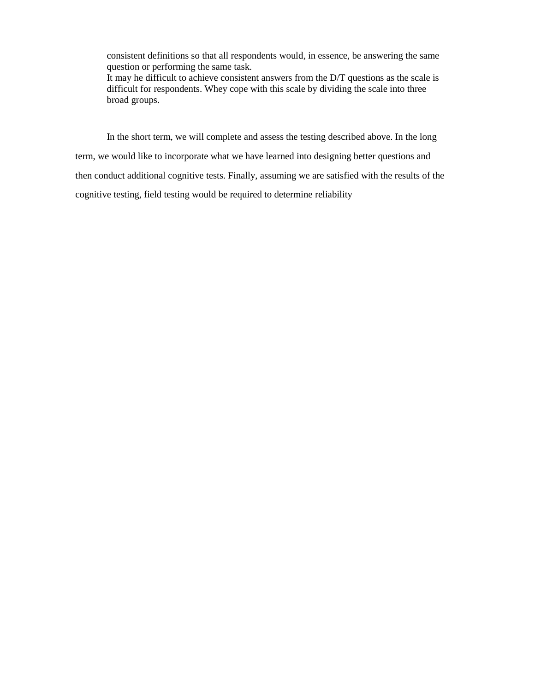consistent definitions so that all respondents would, in essence, be answering the same question or performing the same task.

It may he difficult to achieve consistent answers from the D/T questions as the scale is difficult for respondents. Whey cope with this scale by dividing the scale into three broad groups.

In the short term, we will complete and assess the testing described above. In the long term, we would like to incorporate what we have learned into designing better questions and then conduct additional cognitive tests. Finally, assuming we are satisfied with the results of the cognitive testing, field testing would be required to determine reliability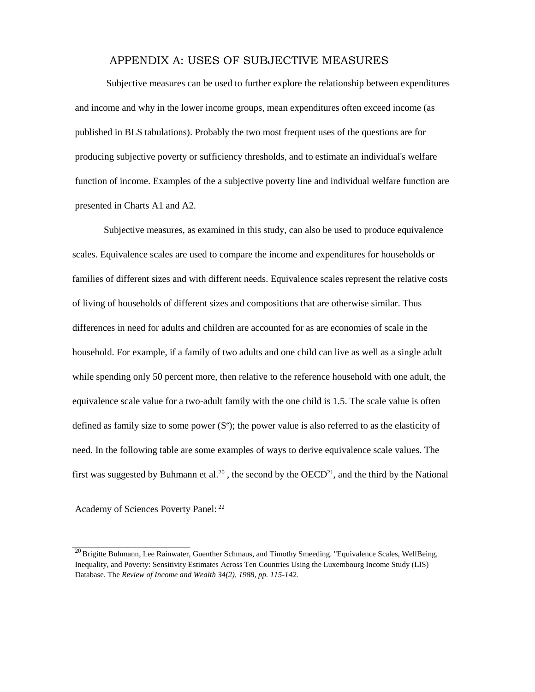## APPENDIX A: USES OF SUBJECTIVE MEASURES

Subjective measures can be used to further explore the relationship between expenditures and income and why in the lower income groups, mean expenditures often exceed income (as published in BLS tabulations). Probably the two most frequent uses of the questions are for producing subjective poverty or sufficiency thresholds, and to estimate an individual's welfare function of income. Examples of the a subjective poverty line and individual welfare function are presented in Charts A1 and A2.

Subjective measures, as examined in this study, can also be used to produce equivalence scales. Equivalence scales are used to compare the income and expenditures for households or families of different sizes and with different needs. Equivalence scales represent the relative costs of living of households of different sizes and compositions that are otherwise similar. Thus differences in need for adults and children are accounted for as are economies of scale in the household. For example, if a family of two adults and one child can live as well as a single adult while spending only 50 percent more, then relative to the reference household with one adult, the equivalence scale value for a two-adult family with the one child is 1.5. The scale value is often defined as family size to some power  $(S<sup>e</sup>)$ ; the power value is also referred to as the elasticity of need. In the following table are some examples of ways to derive equivalence scale values. The first was suggested by Buhmann et al.<sup>20</sup>, the second by the  $OECD<sup>21</sup>$ , and the third by the National

Academy of Sciences Poverty Panel: <sup>22</sup>

<sup>&</sup>lt;sup>20</sup> Brigitte Buhmann, Lee Rainwater, Guenther Schmaus, and Timothy Smeeding. "Equivalence Scales, WellBeing, Inequality, and Poverty: Sensitivity Estimates Across Ten Countries Using the Luxembourg Income Study (LIS) Database. The *Review of Income and Wealth 34(2), 1988, pp. 115-142.*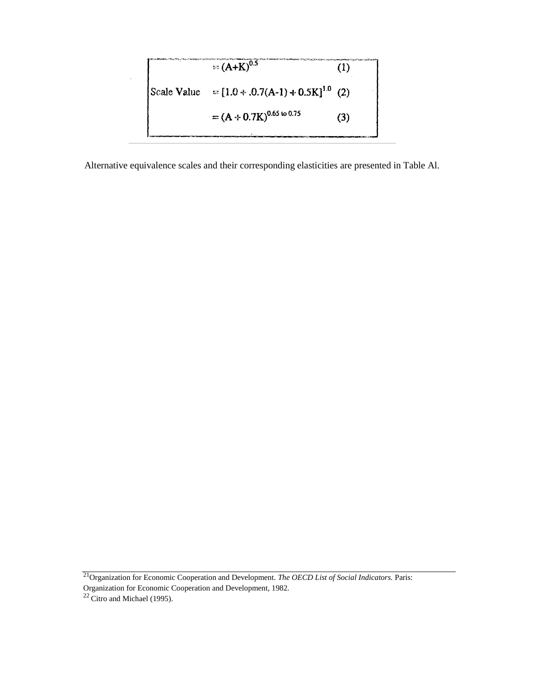

Alternative equivalence scales and their corresponding elasticities are presented in Table Al.

<sup>21</sup>Organization for Economic Cooperation and Development. *The OECD List of Social Indicators*. Paris:

Organization for Economic Cooperation and Development, 1982.

 $22$  Citro and Michael (1995).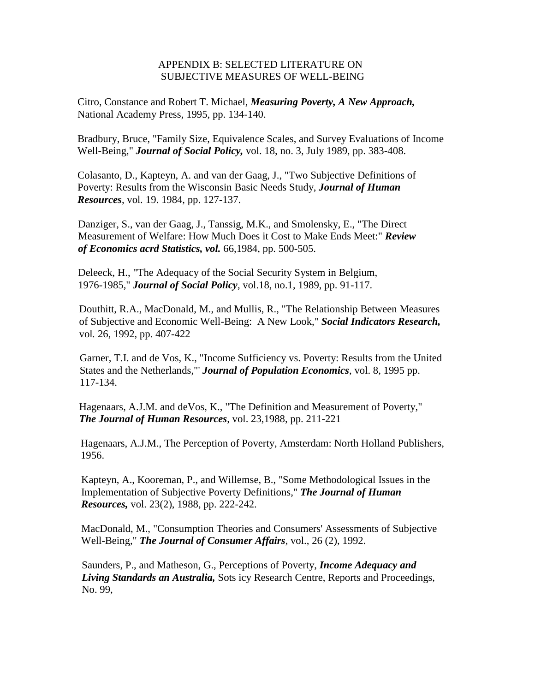## APPENDIX B: SELECTED LITERATURE ON SUBJECTIVE MEASURES OF WELL-BEING

Citro, Constance and Robert T. Michael, *Measuring Poverty, A New Approach,* National Academy Press, 1995, pp. 134-140.

Bradbury, Bruce, "Family Size, Equivalence Scales, and Survey Evaluations of Income Well-Being," *Journal of Social Policy,* vol. 18, no. 3, July 1989, pp. 383-408.

Colasanto, D., Kapteyn, A. and van der Gaag, J., "Two Subjective Definitions of Poverty: Results from the Wisconsin Basic Needs Study, *Journal of Human Resources*, vol*.* 19. 1984, pp. 127-137.

Danziger, S., van der Gaag, J., Tanssig, M.K., and Smolensky, E., "The Direct Measurement of Welfare: How Much Does it Cost to Make Ends Meet:" *Review of Economics acrd Statistics, vol.* 66,1984, pp. 500-505.

Deleeck, H., "The Adequacy of the Social Security System in Belgium, 1976-1985," *Journal of Social Policy*, vol.18, no.1, 1989, pp. 91-117.

Douthitt, R.A., MacDonald, M., and Mullis, R., "The Relationship Between Measures of Subjective and Economic Well-Being: A New Look," *Social Indicators Research,*  vol*.* 26, 1992, pp. 407-422

Garner, T.I. and de Vos, K., "Income Sufficiency vs. Poverty: Results from the United States and the Netherlands,"' *Journal of Population Economics*, vol. 8, 1995 pp. 117-134.

Hagenaars, A.J.M. and deVos, K., "The Definition and Measurement of Poverty," *The Journal of Human Resources*, vol. 23,1988, pp. 211-221

Hagenaars, A.J.M., The Perception of Poverty, Amsterdam: North Holland Publishers, 1956.

Kapteyn, A., Kooreman, P., and Willemse, B., "Some Methodological Issues in the Implementation of Subjective Poverty Definitions," *The Journal of Human Resources,* vol. 23(2), 1988, pp. 222-242.

MacDonald, M., "Consumption Theories and Consumers' Assessments of Subjective Well-Being," *The Journal of Consumer Affairs*, vol., 26 (2), 1992.

Saunders, P., and Matheson, G., Perceptions of Poverty, *Income Adequacy and Living Standards an Australia,* Sots icy Research Centre, Reports and Proceedings, No. 99,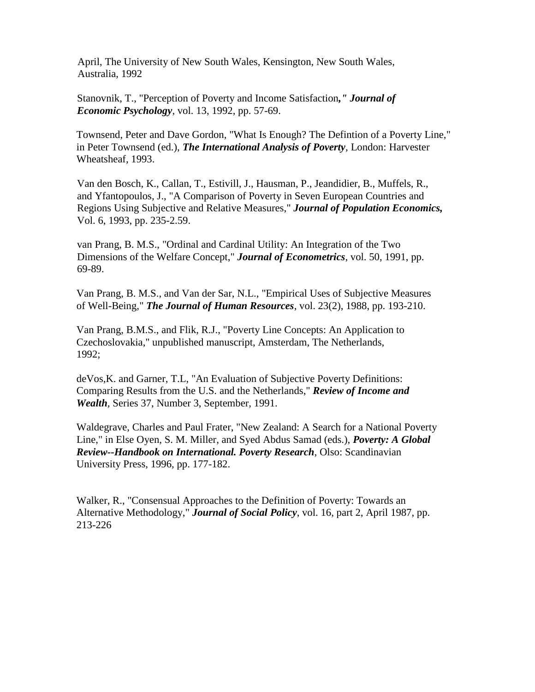April, The University of New South Wales, Kensington, New South Wales, Australia, 1992

Stanovnik, T., "Perception of Poverty and Income Satisfaction*," Journal of Economic Psychology*, vol. 13, 1992, pp. 57-69.

Townsend, Peter and Dave Gordon, "What Is Enough? The Defintion of a Poverty Line," in Peter Townsend (ed.), *The International Analysis of Poverty,* London: Harvester Wheatsheaf, 1993.

Van den Bosch, K., Callan, T., Estivill, J., Hausman, P., Jeandidier, B., Muffels, R., and Yfantopoulos, J., "A Comparison of Poverty in Seven European Countries and Regions Using Subjective and Relative Measures," *Journal of Population Economics,*  Vol. 6, 1993, pp. 235-2.59.

van Prang, B. M.S., "Ordinal and Cardinal Utility: An Integration of the Two Dimensions of the Welfare Concept," *Journal of Econometrics*, vol. 50, 1991, pp. 69-89.

Van Prang, B. M.S., and Van der Sar, N.L., "Empirical Uses of Subjective Measures of Well-Being," *The Journal of Human Resources*, vol. 23(2), 1988, pp. 193-210.

Van Prang, B.M.S., and Flik, R.J., "Poverty Line Concepts: An Application to Czechoslovakia," unpublished manuscript, Amsterdam, The Netherlands, 1992;

deVos,K. and Garner, T.L, "An Evaluation of Subjective Poverty Definitions: Comparing Results from the U.S. and the Netherlands," *Review of Income and Wealth,* Series 37, Number 3, September, 1991.

Waldegrave, Charles and Paul Frater, "New Zealand: A Search for a National Poverty Line," in Else Oyen, S. M. Miller, and Syed Abdus Samad (eds.), *Poverty: A Global Review--Handbook on International. Poverty Research*, Olso: Scandinavian University Press, 1996, pp. 177-182.

Walker, R., "Consensual Approaches to the Definition of Poverty: Towards an Alternative Methodology," *Journal of Social Policy*, vol. 16, part 2, April 1987, pp. 213-226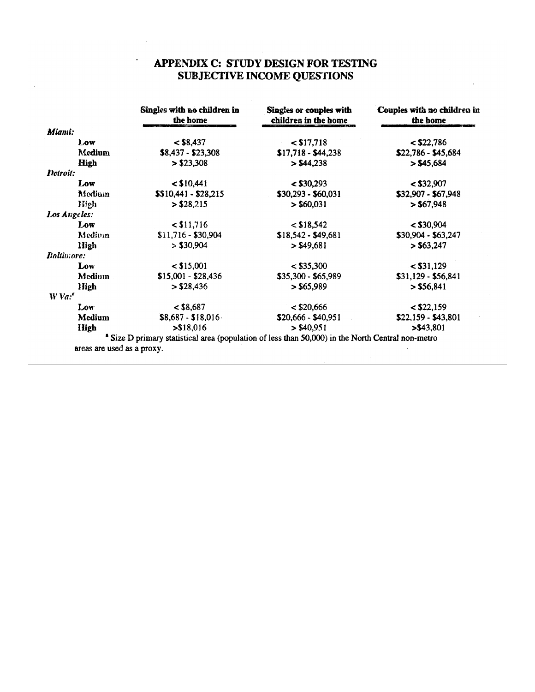## APPENDIX C: STUDY DESIGN FOR TESTING **SUBJECTIVE INCOME QUESTIONS**

|                                   | Singles with no children in<br>the home                                                                      | Singles or couples with<br>children in the home | Couples with no children in<br>the home |  |
|-----------------------------------|--------------------------------------------------------------------------------------------------------------|-------------------------------------------------|-----------------------------------------|--|
| Miami:                            |                                                                                                              |                                                 |                                         |  |
| Low                               | $<$ \$8,437                                                                                                  | $<$ \$17,718                                    | $<$ \$22,786                            |  |
| Medium                            | $$8,437 - $23,308$                                                                                           | $$17,718 - $44,238$                             | \$22,786 - \$45,684                     |  |
| High                              | > \$23,308                                                                                                   | > \$44,238                                      | > \$45,684                              |  |
| Detroit:                          |                                                                                                              |                                                 |                                         |  |
| Low                               | $<$ \$10,441                                                                                                 | $<$ \$30,293                                    | $<$ \$32,907                            |  |
| Medium                            | $$10,441 - $28,215$                                                                                          | $$30,293 - $60,031$                             | \$32,907 - \$67,948                     |  |
| High                              | $>$ \$28,215                                                                                                 | $>$ \$60,031                                    | > \$67,948                              |  |
| Los Angeles:                      |                                                                                                              |                                                 |                                         |  |
| Low                               | $<$ \$11,716                                                                                                 | $<$ \$18,542                                    | $<$ \$30,904                            |  |
| Medium                            | $$11,716 - $30,904$                                                                                          | $$18,542 - $49,681$                             | \$30,904 - \$63,247                     |  |
| High                              | > \$30,904                                                                                                   | > \$49,681                                      | > \$63,247                              |  |
| <b>Baltimore:</b>                 |                                                                                                              |                                                 |                                         |  |
| Low                               | $<$ \$15,001                                                                                                 | $<$ \$35,300                                    | $<$ \$31,129                            |  |
| <b>Medium</b>                     | $$15,001 - $28,436$                                                                                          | \$35,300 - \$65,989                             | $$31,129 - $56,841$                     |  |
| High                              | $>$ \$28,436                                                                                                 | > \$65,989                                      | > \$56,841                              |  |
| $W$ Va: <sup><math>a</math></sup> |                                                                                                              |                                                 |                                         |  |
| Low                               | $<$ \$8,687                                                                                                  | $<$ \$20,666                                    | $<$ \$22,159                            |  |
| Medium                            | $$8,687 - $18,016$                                                                                           | $$20,666 - $40,951$                             | $$22,159 - $43,801$                     |  |
| High                              | > \$18,016                                                                                                   | $>$ \$40,951                                    | > \$43,801                              |  |
|                                   | <sup>a</sup> Size D primary statistical area (population of less than 50,000) in the North Central non-metro |                                                 |                                         |  |
| areas are used as a proxy.        |                                                                                                              |                                                 |                                         |  |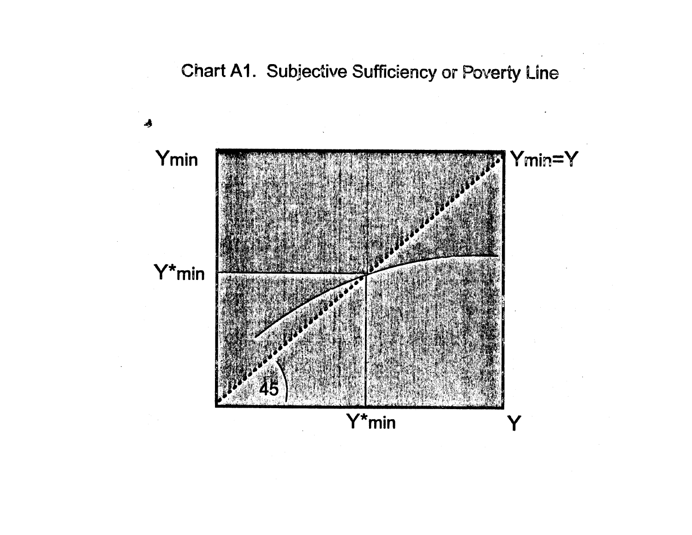Chart A1. Subjective Sufficiency or Poverty Line

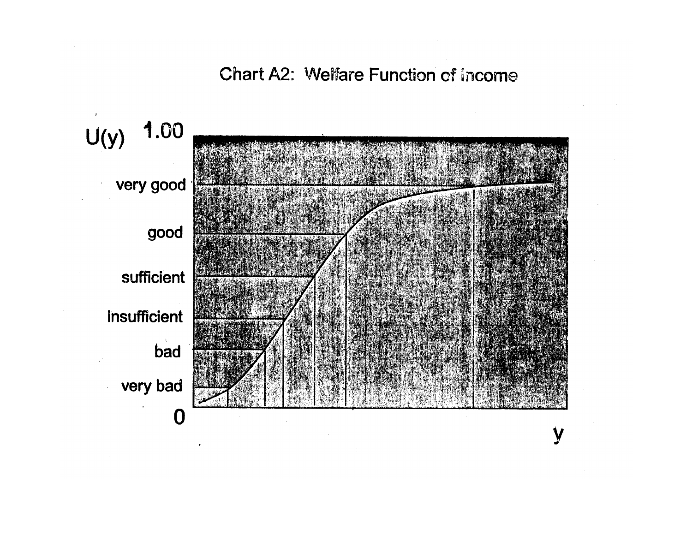Chart A2: Welfare Function of Income